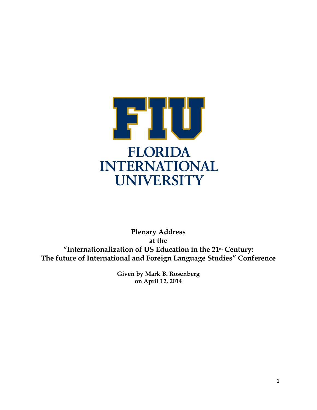

**Plenary Address at the "Internationalization of US Education in the 21st Century: The future of International and Foreign Language Studies" Conference**

> **Given by Mark B. Rosenberg on April 12, 2014**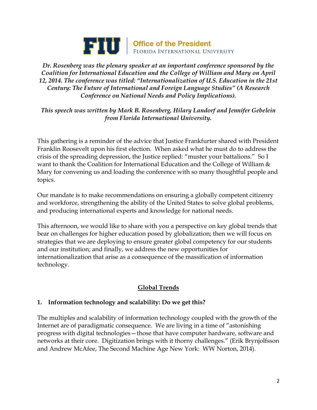

*Dr. Rosenberg was the plenary speaker at an important conference sponsored by the Coalition for International Education and the College of William and Mary on April 12, 2014. The conference was titled: "Internationalization of U.S. Education in the 21st Century: The Future of International and Foreign Language Studies" (A Research Conference on National Needs and Policy Implications).*

*This speech was written by Mark B. Rosenberg, Hilary Landorf and Jennifer Gebelein from Florida International University.*

This gathering is a reminder of the advice that Justice Frankfurter shared with President Franklin Roosevelt upon his first election. When asked what he must do to address the crisis of the spreading depression, the Justice replied: "muster your battalions." So I want to thank the Coalition for International Education and the College of William  $\&$ Mary for convening us and loading the conference with so many thoughtful people and topics.

Our mandate is to make recommendations on ensuring a globally competent citizenry and workforce, strengthening the ability of the United States to solve global problems, and producing international experts and knowledge for national needs.

This afternoon, we would like to share with you a perspective on key global trends that bear on challenges for higher education posed by globalization; then we will focus on strategies that we are deploying to ensure greater global competency for our students and our institution; and finally, we address the new opportunities for internationalization that arise as a consequence of the massification of information technology.

# **Global Trends**

#### **1. Information technology and scalability: Do we get this?**

The multiples and scalability of information technology coupled with the growth of the Internet are of paradigmatic consequence. We are living in a time of "astonishing progress with digital technologies—those that have computer hardware, software and networks at their core. Digitization brings with it thorny challenges." (Erik Brynjolfsson and Andrew McAfee, The Second Machine Age New York: WW Norton, 2014).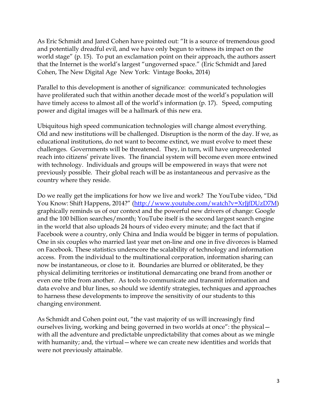As Eric Schmidt and Jared Cohen have pointed out: "It is a source of tremendous good and potentially dreadful evil, and we have only begun to witness its impact on the world stage" (p. 15). To put an exclamation point on their approach, the authors assert that the Internet is the world's largest "ungoverned space." (Eric Schmidt and Jared Cohen, The New Digital Age New York: Vintage Books, 2014)

Parallel to this development is another of significance: communicated technologies have proliferated such that within another decade most of the world's population will have timely access to almost all of the world's information (p. 17). Speed, computing power and digital images will be a hallmark of this new era.

Ubiquitous high speed communication technologies will change almost everything. Old and new institutions will be challenged. Disruption is the norm of the day. If we, as educational institutions, do not want to become extinct, we must evolve to meet these challenges. Governments will be threatened. They, in turn, will have unprecedented reach into citizens' private lives. The financial system will become even more entwined with technology. Individuals and groups will be empowered in ways that were not previously possible. Their global reach will be as instantaneous and pervasive as the country where they reside.

Do we really get the implications for how we live and work? The YouTube video, "Did You Know: Shift Happens, 2014?" ([http://www.youtube.com/watch?v=XrJjfDUzD7M\)](http://www.youtube.com/watch?v=XrJjfDUzD7M) graphically reminds us of our context and the powerful new drivers of change: Google and the 100 billion searches/month; YouTube itself is the second largest search engine in the world that also uploads 24 hours of video every minute; and the fact that if Facebook were a country, only China and India would be bigger in terms of population. One in six couples who married last year met on-line and one in five divorces is blamed on Facebook. These statistics underscore the scalability of technology and information access. From the individual to the multinational corporation, information sharing can now be instantaneous, or close to it. Boundaries are blurred or obliterated, be they physical delimiting territories or institutional demarcating one brand from another or even one tribe from another. As tools to communicate and transmit information and data evolve and blur lines, so should we identify strategies, techniques and approaches to harness these developments to improve the sensitivity of our students to this changing environment.

As Schmidt and Cohen point out, "the vast majority of us will increasingly find ourselves living, working and being governed in two worlds at once": the physical with all the adventure and predictable unpredictability that comes about as we mingle with humanity; and, the virtual – where we can create new identities and worlds that were not previously attainable.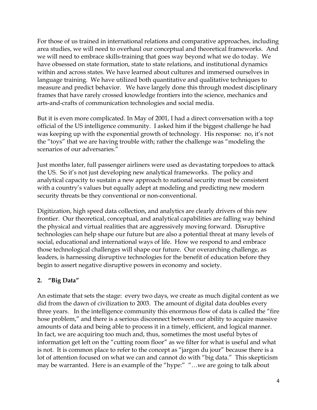For those of us trained in international relations and comparative approaches, including area studies, we will need to overhaul our conceptual and theoretical frameworks. And we will need to embrace skills-training that goes way beyond what we do today. We have obsessed on state formation, state to state relations, and institutional dynamics within and across states. We have learned about cultures and immersed ourselves in language training. We have utilized both quantitative and qualitative techniques to measure and predict behavior. We have largely done this through modest disciplinary frames that have rarely crossed knowledge frontiers into the science, mechanics and arts-and-crafts of communication technologies and social media.

But it is even more complicated. In May of 2001, I had a direct conversation with a top official of the US intelligence community. I asked him if the biggest challenge he had was keeping up with the exponential growth of technology. His response: no, it's not the "toys" that we are having trouble with; rather the challenge was "modeling the scenarios of our adversaries."

Just months later, full passenger airliners were used as devastating torpedoes to attack the US. So it's not just developing new analytical frameworks. The policy and analytical capacity to sustain a new approach to national security must be consistent with a country's values but equally adept at modeling and predicting new modern security threats be they conventional or non-conventional.

Digitization, high speed data collection, and analytics are clearly drivers of this new frontier. Our theoretical, conceptual, and analytical capabilities are falling way behind the physical and virtual realities that are aggressively moving forward. Disruptive technologies can help shape our future but are also a potential threat at many levels of social, educational and international ways of life. How we respond to and embrace those technological challenges will shape our future. Our overarching challenge, as leaders, is harnessing disruptive technologies for the benefit of education before they begin to assert negative disruptive powers in economy and society.

## **2. "Big Data"**

An estimate that sets the stage: every two days, we create as much digital content as we did from the dawn of civilization to 2003. The amount of digital data doubles every three years. In the intelligence community this enormous flow of data is called the "fire hose problem," and there is a serious disconnect between our ability to acquire massive amounts of data and being able to process it in a timely, efficient, and logical manner. In fact, we are acquiring too much and, thus, sometimes the most useful bytes of information get left on the "cutting room floor" as we filter for what is useful and what is not. It is common place to refer to the concept as "jargon du jour" because there is a lot of attention focused on what we can and cannot do with "big data." This skepticism may be warranted. Here is an example of the "hype:" "…we are going to talk about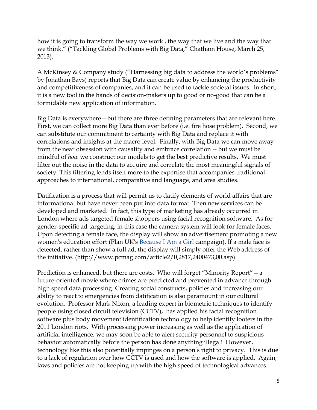how it is going to transform the way we work , the way that we live and the way that we think." ("Tackling Global Problems with Big Data," Chatham House, March 25, 2013).

A McKinsey & Company study ("Harnessing big data to address the world's problems" by Jonathan Bays) reports that Big Data can create value by enhancing the productivity and competitiveness of companies, and it can be used to tackle societal issues. In short, it is a new tool in the hands of decision-makers up to good or no-good that can be a formidable new application of information.

Big Data is everywhere—but there are three defining parameters that are relevant here. First, we can collect more Big Data than ever before (i.e. fire hose problem). Second, we can substitute our commitment to certainty with Big Data and replace it with correlations and insights at the macro level. Finally, with Big Data we can move away from the near obsession with causality and embrace correlation -- but we must be mindful of *how* we construct our models to get the best predictive results. We must filter out the noise in the data to acquire and correlate the most meaningful signals of society. This filtering lends itself more to the expertise that accompanies traditional approaches to international, comparative and language, and area studies.

Datification is a process that will permit us to datify elements of world affairs that are informational but have never been put into data format. Then new services can be developed and marketed. In fact, this type of marketing has already occurred in London where ads targeted female shoppers using facial recognition software. As for gender-specific ad targeting, in this case the camera system will look for female faces. Upon detecting a female face, the display will show an advertisement promoting a new women's education effort (Plan UK's [Because I Am a Girl](http://www.plan-uk.org/what-we-do/campaigns/because-i-am-a-girl/) campaign). If a male face is detected, rather than show a full ad, the display will simply offer the Web address of the initiative. (http://www.pcmag.com/article2/0,2817,2400473,00.asp)

Prediction is enhanced, but there are costs. Who will forget "Minority Report"—a future-oriented movie where crimes are predicted and prevented in advance through high speed data processing. Creating social constructs, policies and increasing our ability to react to emergencies from datification is also paramount in our cultural evolution. Professor Mark Nixon, a leading expert in biometric techniques to identify people using closed circuit television (CCTV), has applied his facial recognition software plus body movement identification technology to help identify looters in the 2011 London riots. With processing power increasing as well as the application of artificial intelligence, we may soon be able to alert security personnel to suspicious behavior automatically before the person has done anything illegal! However, technology like this also potentially impinges on a person's right to privacy. This is due to a lack of regulation over how CCTV is used and how the software is applied. Again, laws and policies are not keeping up with the high speed of technological advances.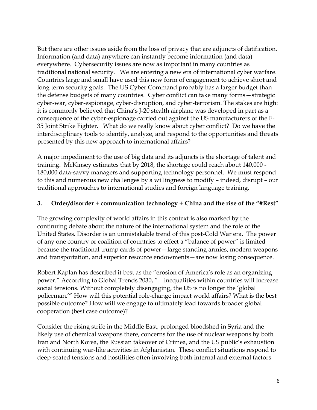But there are other issues aside from the loss of privacy that are adjuncts of datification. Information (and data) anywhere can instantly become information (and data) everywhere. Cybersecurity issues are now as important in many countries as traditional national security. We are entering a new era of international cyber warfare. Countries large and small have used this new form of engagement to achieve short and long term security goals. The US Cyber Command probably has a larger budget than the defense budgets of many countries. Cyber conflict can take many forms—strategic cyber-war, cyber-espionage, cyber-disruption, and cyber-terrorism. The stakes are high: it is commonly believed that China's J-20 stealth airplane was developed in part as a consequence of the cyber-espionage carried out against the US manufacturers of the F-35 Joint Strike Fighter. What do we really know about cyber conflict? Do we have the interdisciplinary tools to identify, analyze, and respond to the opportunities and threats presented by this new approach to international affairs?

A major impediment to the use of big data and its adjuncts is the shortage of talent and training. McKinsey estimates that by 2018, the shortage could reach about 140,000 - 180,000 data-savvy managers and supporting technology personnel. We must respond to this and numerous new challenges by a willingness to modify – indeed, disrupt – our traditional approaches to international studies and foreign language training.

## **3. Order/disorder + communication technology + China and the rise of the "#Rest"**

The growing complexity of world affairs in this context is also marked by the continuing debate about the nature of the international system and the role of the United States. Disorder is an unmistakable trend of this post-Cold War era. The power of any one country or coalition of countries to effect a "balance of power" is limited because the traditional trump cards of power—large standing armies, modern weapons and transportation, and superior resource endowments—are now losing consequence.

Robert Kaplan has described it best as the "erosion of America's role as an organizing power." According to Global Trends 2030, "…inequalities within countries will increase social tensions. Without completely disengaging, the US is no longer the 'global policeman.'" How will this potential role-change impact world affairs? What is the best possible outcome? How will we engage to ultimately lead towards broader global cooperation (best case outcome)?

Consider the rising strife in the Middle East, prolonged bloodshed in Syria and the likely use of chemical weapons there, concerns for the use of nuclear weapons by both Iran and North Korea, the Russian takeover of Crimea, and the US public's exhaustion with continuing war-like activities in Afghanistan. These conflict situations respond to deep-seated tensions and hostilities often involving both internal and external factors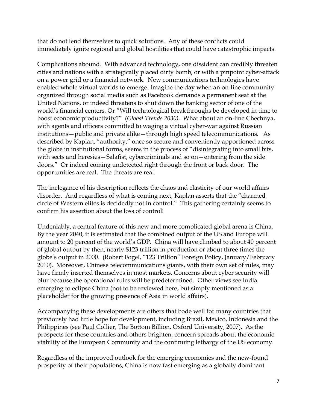that do not lend themselves to quick solutions. Any of these conflicts could immediately ignite regional and global hostilities that could have catastrophic impacts.

Complications abound. With advanced technology, one dissident can credibly threaten cities and nations with a strategically placed dirty bomb, or with a pinpoint cyber-attack on a power grid or a financial network. New communications technologies have enabled whole virtual worlds to emerge. Imagine the day when an on-line community organized through social media such as Facebook demands a permanent seat at the United Nations, or indeed threatens to shut down the banking sector of one of the world's financial centers. Or "Will technological breakthroughs be developed in time to boost economic productivity?" (*Global Trends 2030).* What about an on-line Chechnya, with agents and officers committed to waging a virtual cyber-war against Russian institutions—public and private alike—through high speed telecommunications. As described by Kaplan, "authority," once so secure and conveniently apportioned across the globe in institutional forms, seems in the process of "disintegrating into small bits, with sects and heresies—Salafist, cybercriminals and so on—entering from the side doors." Or indeed coming undetected right through the front or back door. The opportunities are real. The threats are real.

The inelegance of his description reflects the chaos and elasticity of our world affairs disorder. And regardless of what is coming next, Kaplan asserts that the "charmed circle of Western elites is decidedly not in control." This gathering certainly seems to confirm his assertion about the loss of control!

Undeniably, a central feature of this new and more complicated global arena is China. By the year 2040, it is estimated that the combined output of the US and Europe will amount to 20 percent of the world's GDP. China will have climbed to about 40 percent of global output by then, nearly \$123 trillion in production or about three times the globe's output in 2000. (Robert Fogel, "123 Trillion" Foreign Policy, January/February 2010). Moreover, Chinese telecommunications giants, with their own set of rules, may have firmly inserted themselves in most markets. Concerns about cyber security will blur because the operational rules will be predetermined. Other views see India emerging to eclipse China (not to be reviewed here, but simply mentioned as a placeholder for the growing presence of Asia in world affairs).

Accompanying these developments are others that bode well for many countries that previously had little hope for development, including Brazil, Mexico, Indonesia and the Philippines (see Paul Collier, The Bottom Billion, Oxford University, 2007). As the prospects for these countries and others brighten, concern spreads about the economic viability of the European Community and the continuing lethargy of the US economy.

Regardless of the improved outlook for the emerging economies and the new-found prosperity of their populations, China is now fast emerging as a globally dominant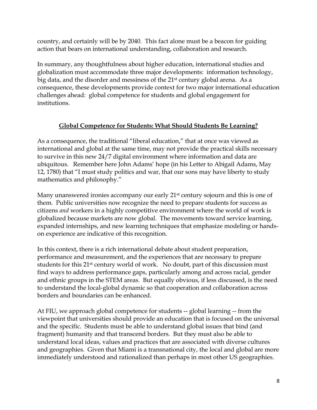country, and certainly will be by 2040. This fact alone must be a beacon for guiding action that bears on international understanding, collaboration and research.

In summary, any thoughtfulness about higher education, international studies and globalization must accommodate three major developments: information technology, big data, and the disorder and messiness of the 21st century global arena. As a consequence, these developments provide context for two major international education challenges ahead: global competence for students and global engagement for institutions.

## **Global Competence for Students: What Should Students Be Learning?**

As a consequence, the traditional "liberal education," that at once was viewed as international and global at the same time, may not provide the practical skills necessary to survive in this new 24/7 digital environment where information and data are ubiquitous. Remember here John Adams' hope (in his Letter to Abigail Adams, May 12, 1780) that "I must study politics and war, that our sons may have liberty to study mathematics and philosophy."

Many unanswered ironies accompany our early 21<sup>st</sup> century sojourn and this is one of them. Public universities now recognize the need to prepare students for success as citizens *and* workers in a highly competitive environment where the world of work is globalized because markets are now global. The movements toward service learning, expanded internships, and new learning techniques that emphasize modeling or handson experience are indicative of this recognition.

In this context, there is a rich international debate about student preparation, performance and measurement, and the experiences that are necessary to prepare students for this 21st century world of work. No doubt, part of this discussion must find ways to address performance gaps, particularly among and across racial, gender and ethnic groups in the STEM areas. But equally obvious, if less discussed, is the need to understand the local-global dynamic so that cooperation and collaboration across borders and boundaries can be enhanced.

At FIU, we approach global competence for students -- global learning -- from the viewpoint that universities should provide an education that is focused on the universal and the specific. Students must be able to understand global issues that bind (and fragment) humanity and that transcend borders. But they must also be able to understand local ideas, values and practices that are associated with diverse cultures and geographies. Given that Miami is a transnational city, the local and global are more immediately understood and rationalized than perhaps in most other US geographies.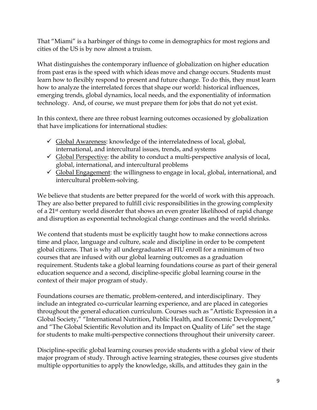That "Miami" is a harbinger of things to come in demographics for most regions and cities of the US is by now almost a truism.

What distinguishes the contemporary influence of globalization on higher education from past eras is the speed with which ideas move and change occurs. Students must learn how to flexibly respond to present and future change. To do this, they must learn how to analyze the interrelated forces that shape our world: historical influences, emerging trends, global dynamics, local needs, and the exponentiality of information technology. And, of course, we must prepare them for jobs that do not yet exist.

In this context, there are three robust learning outcomes occasioned by globalization that have implications for international studies:

- $\checkmark$  Global Awareness: knowledge of the interrelatedness of local, global, international, and intercultural issues, trends, and systems
- $\checkmark$  Global Perspective: the ability to conduct a multi-perspective analysis of local, global, international, and intercultural problems
- $\checkmark$  Global Engagement: the willingness to engage in local, global, international, and intercultural problem-solving.

We believe that students are better prepared for the world of work with this approach. They are also better prepared to fulfill civic responsibilities in the growing complexity of a 21st century world disorder that shows an even greater likelihood of rapid change and disruption as exponential technological change continues and the world shrinks.

We contend that students must be explicitly taught how to make connections across time and place, language and culture, scale and discipline in order to be competent global citizens. That is why all undergraduates at FIU enroll for a minimum of two courses that are infused with our global learning outcomes as a graduation requirement. Students take a global learning foundations course as part of their general education sequence and a second, discipline-specific global learning course in the context of their major program of study.

Foundations courses are thematic, problem-centered, and interdisciplinary. They include an integrated co-curricular learning experience, and are placed in categories throughout the general education curriculum. Courses such as "Artistic Expression in a Global Society," "International Nutrition, Public Health, and Economic Development," and "The Global Scientific Revolution and its Impact on Quality of Life" set the stage for students to make multi-perspective connections throughout their university career.

Discipline-specific global learning courses provide students with a global view of their major program of study. Through active learning strategies, these courses give students multiple opportunities to apply the knowledge, skills, and attitudes they gain in the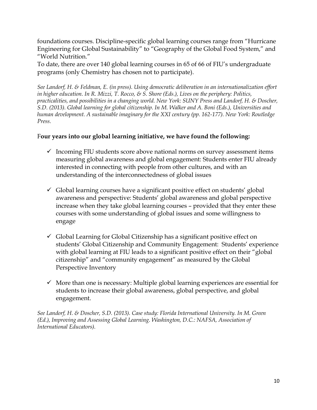foundations courses. Discipline-specific global learning courses range from "Hurricane Engineering for Global Sustainability" to "Geography of the Global Food System," and "World Nutrition."

To date, there are over 140 global learning courses in 65 of 66 of FIU's undergraduate programs (only Chemistry has chosen not to participate).

*See Landorf, H. & Feldman, E. (in press). Using democratic deliberation in an internationalization effort in higher education. In R. Mizzi, T. Rocco, & S. Shore (Eds.), Lives on the periphery: Politics, practicalities, and possibilities in a changing world. New York: SUNY Press and Landorf, H. & Doscher, S.D. (2013). Global learning for global citizenship. In M. Walker and A. Boni (Eds.), Universities and human development. A sustainable imaginary for the XXI century (pp. 162-177). New York: Routledge Press.*

#### F**our years into our global learning initiative, we have found the following:**

- $\checkmark$  Incoming FIU students score above national norms on survey assessment items measuring global awareness and global engagement: Students enter FIU already interested in connecting with people from other cultures, and with an understanding of the interconnectedness of global issues
- $\checkmark$  Global learning courses have a significant positive effect on students' global awareness and perspective: Students' global awareness and global perspective increase when they take global learning courses – provided that they enter these courses with some understanding of global issues and some willingness to engage
- $\checkmark$  Global Learning for Global Citizenship has a significant positive effect on students' Global Citizenship and Community Engagement: Students' experience with global learning at FIU leads to a significant positive effect on their "global citizenship" and "community engagement" as measured by the Global Perspective Inventory
- $\checkmark$  More than one is necessary: Multiple global learning experiences are essential for students to increase their global awareness, global perspective, and global engagement.

*See Landorf, H. & Doscher, S.D. (2013). Case study: Florida International University. In M. Green (Ed.), Improving and Assessing Global Learning. Washington, D.C.: NAFSA, Association of International Educators).*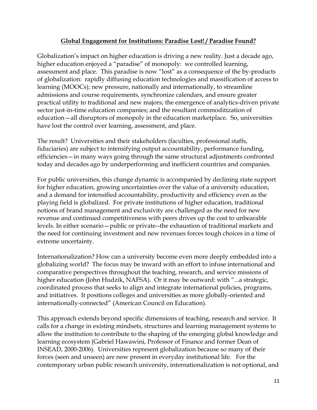### **Global Engagement for Institutions: Paradise Lost! / Paradise Found?**

Globalization's impact on higher education is driving a new reality. Just a decade ago, higher education enjoyed a "paradise" of monopoly: we controlled learning, assessment and place. This paradise is now "lost" as a consequence of the by-products of globalization: rapidly diffusing education technologies and massification of access to learning (MOOCs); new pressure, nationally and internationally, to streamline admissions and course requirements, synchronize calendars, and ensure greater practical utility to traditional and new majors; the emergence of analytics-driven private sector just-in-time education companies; and the resultant commoditization of education—all disruptors of monopoly in the education marketplace. So, universities have lost the control over learning, assessment, and place.

The result? Universities and their stakeholders (faculties, professional staffs, fiduciaries) are subject to intensifying output accountability, performance funding, efficiencies—in many ways going through the same structural adjustments confronted today and decades ago by underperforming and inefficient countries and companies.

For public universities, this change dynamic is accompanied by declining state support for higher education, growing uncertainties over the value of a university education, and a demand for intensified accountability, productivity and efficiency even as the playing field is globalized. For private institutions of higher education, traditional notions of brand management and exclusivity are challenged as the need for new revenue and continued competitiveness with peers drives up the cost to unbearable levels. In either scenario—public or private--the exhaustion of traditional markets and the need for continuing investment and new revenues forces tough choices in a time of extreme uncertainty.

Internationalization? How can a university become even more deeply embedded into a globalizing world? The focus may be inward with an effort to infuse international and comparative perspectives throughout the teaching, research, and service missions of higher education (John Hudzik, NAFSA). Or it may be outward: with "...a strategic, coordinated process that seeks to align and integrate international policies, programs, and initiatives. It positions colleges and universities as more globally-oriented and internationally-connected" (American Council on Education).

This approach extends beyond specific dimensions of teaching, research and service. It calls for a change in existing mindsets, structures and learning management systems to allow the institution to contribute to the shaping of the emerging global knowledge and learning ecosystem (Gabriel Hawawini, Professor of Finance and former Dean of INSEAD, 2000-2006). Universities represent globalization because so many of their forces (seen and unseen) are now present in everyday institutional life. For the contemporary urban public research university, internationalization is not optional, and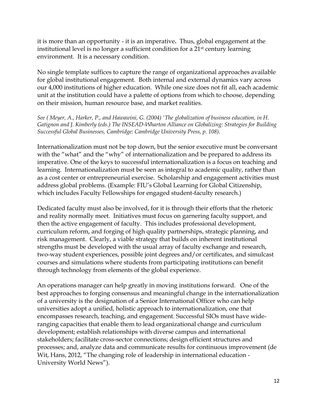it is more than an opportunity - it is an imperative**.** Thus, global engagement at the institutional level is no longer a sufficient condition for a 21st century learning environment. It is a necessary condition.

No single template suffices to capture the range of organizational approaches available for global institutional engagement. Both internal and external dynamics vary across our 4,000 institutions of higher education. While one size does not fit all, each academic unit at the institution could have a palette of options from which to choose, depending on their mission, human resource base, and market realities.

*See ( Meyer, A., Harker, P., and Hawawini, G. (2004) 'The globalization of business education, in H. Gatignon and J. Kimberly (eds.) The INSEAD-Wharton Alliance on Globalizing: Strategies for Building Successful Global Businesses, Cambridge: Cambridge University Press, p. 108).*

Internationalization must not be top down, but the senior executive must be conversant with the "what" and the "why" of internationalization and be prepared to address its imperative. One of the keys to successful internationalization is a focus on teaching and learning. Internationalization must be seen as integral to academic quality, rather than as a cost center or entrepreneurial exercise. Scholarship and engagement activities must address global problems. (Example: FIU's Global Learning for Global Citizenship, which includes Faculty Fellowships for engaged student-faculty research.)

Dedicated faculty must also be involved, for it is through their efforts that the rhetoric and reality normally meet. Initiatives must focus on garnering faculty support, and then the active engagement of faculty. This includes professional development, curriculum reform, and forging of high quality partnerships, strategic planning, and risk management. Clearly, a viable strategy that builds on inherent institutional strengths must be developed with the usual array of faculty exchange and research, two-way student experiences, possible joint degrees and/or certificates, and simulcast courses and simulations where students from participating institutions can benefit through technology from elements of the global experience.

An operations manager can help greatly in moving institutions forward. One of the best approaches to forging consensus and meaningful change in the internationalization of a university is the designation of a Senior International Officer who can help universities adopt a unified, holistic approach to internationalization, one that encompasses research, teaching, and engagement. Successful SIOs must have wideranging capacities that enable them to lead organizational change and curriculum development; establish relationships with diverse campus and international stakeholders; facilitate cross-sector connections; design efficient structures and processes; and, analyze data and communicate results for continuous improvement (de Wit, Hans, 2012, "The changing role of leadership in international education - University World News").